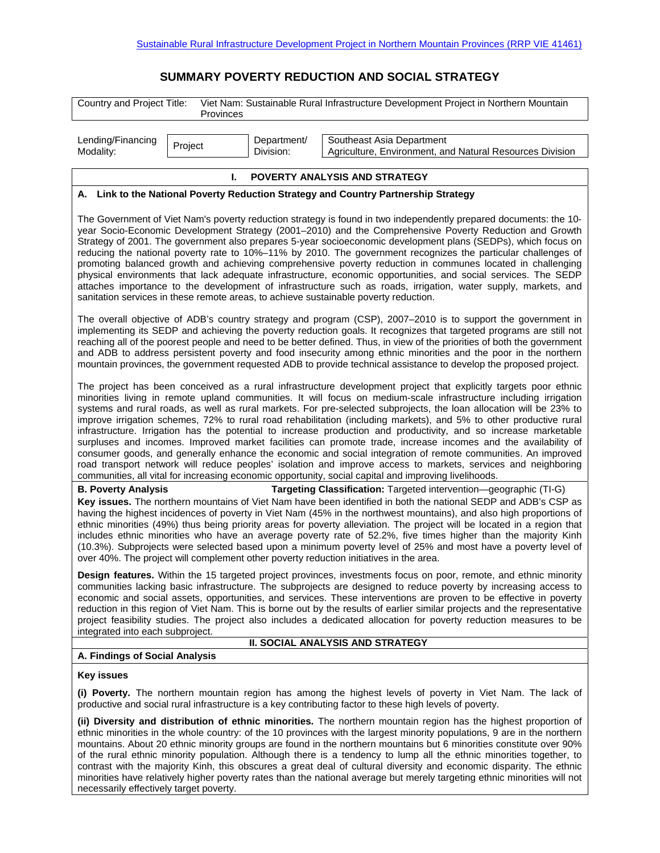## **SUMMARY POVERTY REDUCTION AND SOCIAL STRATEGY**

| Country and Project Title:                                                                                                                                                                                                                                                                                                                                                                                                                                                                                                                                                                                                                                                                                                                                                                                                                                                                               |                                                                                        | Viet Nam: Sustainable Rural Infrastructure Development Project in Northern Mountain                                                                                                                                                                                                                                                                                                                                                                                                                                                                                                                                                                                                                                                                                                                                                                                                                                                                                                                                                                               |  |  |  |
|----------------------------------------------------------------------------------------------------------------------------------------------------------------------------------------------------------------------------------------------------------------------------------------------------------------------------------------------------------------------------------------------------------------------------------------------------------------------------------------------------------------------------------------------------------------------------------------------------------------------------------------------------------------------------------------------------------------------------------------------------------------------------------------------------------------------------------------------------------------------------------------------------------|----------------------------------------------------------------------------------------|-------------------------------------------------------------------------------------------------------------------------------------------------------------------------------------------------------------------------------------------------------------------------------------------------------------------------------------------------------------------------------------------------------------------------------------------------------------------------------------------------------------------------------------------------------------------------------------------------------------------------------------------------------------------------------------------------------------------------------------------------------------------------------------------------------------------------------------------------------------------------------------------------------------------------------------------------------------------------------------------------------------------------------------------------------------------|--|--|--|
|                                                                                                                                                                                                                                                                                                                                                                                                                                                                                                                                                                                                                                                                                                                                                                                                                                                                                                          | Provinces                                                                              |                                                                                                                                                                                                                                                                                                                                                                                                                                                                                                                                                                                                                                                                                                                                                                                                                                                                                                                                                                                                                                                                   |  |  |  |
| Lending/Financing<br>Modality:                                                                                                                                                                                                                                                                                                                                                                                                                                                                                                                                                                                                                                                                                                                                                                                                                                                                           | Department/<br>Project<br>Division:                                                    | Southeast Asia Department<br>Agriculture, Environment, and Natural Resources Division                                                                                                                                                                                                                                                                                                                                                                                                                                                                                                                                                                                                                                                                                                                                                                                                                                                                                                                                                                             |  |  |  |
|                                                                                                                                                                                                                                                                                                                                                                                                                                                                                                                                                                                                                                                                                                                                                                                                                                                                                                          | L.                                                                                     | POVERTY ANALYSIS AND STRATEGY                                                                                                                                                                                                                                                                                                                                                                                                                                                                                                                                                                                                                                                                                                                                                                                                                                                                                                                                                                                                                                     |  |  |  |
| A. Link to the National Poverty Reduction Strategy and Country Partnership Strategy                                                                                                                                                                                                                                                                                                                                                                                                                                                                                                                                                                                                                                                                                                                                                                                                                      |                                                                                        |                                                                                                                                                                                                                                                                                                                                                                                                                                                                                                                                                                                                                                                                                                                                                                                                                                                                                                                                                                                                                                                                   |  |  |  |
| The Government of Viet Nam's poverty reduction strategy is found in two independently prepared documents: the 10-<br>year Socio-Economic Development Strategy (2001-2010) and the Comprehensive Poverty Reduction and Growth<br>Strategy of 2001. The government also prepares 5-year socioeconomic development plans (SEDPs), which focus on<br>reducing the national poverty rate to 10%-11% by 2010. The government recognizes the particular challenges of<br>promoting balanced growth and achieving comprehensive poverty reduction in communes located in challenging<br>physical environments that lack adequate infrastructure, economic opportunities, and social services. The SEDP<br>attaches importance to the development of infrastructure such as roads, irrigation, water supply, markets, and<br>sanitation services in these remote areas, to achieve sustainable poverty reduction. |                                                                                        |                                                                                                                                                                                                                                                                                                                                                                                                                                                                                                                                                                                                                                                                                                                                                                                                                                                                                                                                                                                                                                                                   |  |  |  |
| The overall objective of ADB's country strategy and program (CSP), 2007-2010 is to support the government in<br>implementing its SEDP and achieving the poverty reduction goals. It recognizes that targeted programs are still not<br>reaching all of the poorest people and need to be better defined. Thus, in view of the priorities of both the government<br>and ADB to address persistent poverty and food insecurity among ethnic minorities and the poor in the northern<br>mountain provinces, the government requested ADB to provide technical assistance to develop the proposed project.                                                                                                                                                                                                                                                                                                   |                                                                                        |                                                                                                                                                                                                                                                                                                                                                                                                                                                                                                                                                                                                                                                                                                                                                                                                                                                                                                                                                                                                                                                                   |  |  |  |
|                                                                                                                                                                                                                                                                                                                                                                                                                                                                                                                                                                                                                                                                                                                                                                                                                                                                                                          |                                                                                        | The project has been conceived as a rural infrastructure development project that explicitly targets poor ethnic<br>minorities living in remote upland communities. It will focus on medium-scale infrastructure including irrigation<br>systems and rural roads, as well as rural markets. For pre-selected subprojects, the loan allocation will be 23% to<br>improve irrigation schemes, 72% to rural road rehabilitation (including markets), and 5% to other productive rural<br>infrastructure. Irrigation has the potential to increase production and productivity, and so increase marketable<br>surpluses and incomes. Improved market facilities can promote trade, increase incomes and the availability of<br>consumer goods, and generally enhance the economic and social integration of remote communities. An improved<br>road transport network will reduce peoples' isolation and improve access to markets, services and neighboring<br>communities, all vital for increasing economic opportunity, social capital and improving livelihoods. |  |  |  |
| <b>B. Poverty Analysis</b>                                                                                                                                                                                                                                                                                                                                                                                                                                                                                                                                                                                                                                                                                                                                                                                                                                                                               |                                                                                        | Targeting Classification: Targeted intervention-geographic (TI-G)                                                                                                                                                                                                                                                                                                                                                                                                                                                                                                                                                                                                                                                                                                                                                                                                                                                                                                                                                                                                 |  |  |  |
|                                                                                                                                                                                                                                                                                                                                                                                                                                                                                                                                                                                                                                                                                                                                                                                                                                                                                                          | over 40%. The project will complement other poverty reduction initiatives in the area. | Key issues. The northern mountains of Viet Nam have been identified in both the national SEDP and ADB's CSP as<br>having the highest incidences of poverty in Viet Nam (45% in the northwest mountains), and also high proportions of<br>ethnic minorities (49%) thus being priority areas for poverty alleviation. The project will be located in a region that<br>includes ethnic minorities who have an average poverty rate of 52.2%, five times higher than the majority Kinh<br>(10.3%). Subprojects were selected based upon a minimum poverty level of 25% and most have a poverty level of                                                                                                                                                                                                                                                                                                                                                                                                                                                               |  |  |  |
| Design features. Within the 15 targeted project provinces, investments focus on poor, remote, and ethnic minority<br>communities lacking basic infrastructure. The subprojects are designed to reduce poverty by increasing access to<br>economic and social assets, opportunities, and services. These interventions are proven to be effective in poverty<br>reduction in this region of Viet Nam. This is borne out by the results of earlier similar projects and the representative<br>project feasibility studies. The project also includes a dedicated allocation for poverty reduction measures to be<br>integrated into each subproject.<br>II. SOCIAL ANALYSIS AND STRATEGY                                                                                                                                                                                                                   |                                                                                        |                                                                                                                                                                                                                                                                                                                                                                                                                                                                                                                                                                                                                                                                                                                                                                                                                                                                                                                                                                                                                                                                   |  |  |  |
| A. Findings of Social Analysis                                                                                                                                                                                                                                                                                                                                                                                                                                                                                                                                                                                                                                                                                                                                                                                                                                                                           |                                                                                        |                                                                                                                                                                                                                                                                                                                                                                                                                                                                                                                                                                                                                                                                                                                                                                                                                                                                                                                                                                                                                                                                   |  |  |  |
| <b>Key issues</b>                                                                                                                                                                                                                                                                                                                                                                                                                                                                                                                                                                                                                                                                                                                                                                                                                                                                                        |                                                                                        |                                                                                                                                                                                                                                                                                                                                                                                                                                                                                                                                                                                                                                                                                                                                                                                                                                                                                                                                                                                                                                                                   |  |  |  |
|                                                                                                                                                                                                                                                                                                                                                                                                                                                                                                                                                                                                                                                                                                                                                                                                                                                                                                          |                                                                                        | (i) Poverty. The northern mountain region has among the highest levels of poverty in Viet Nam. The lack of<br>productive and social rural infrastructure is a key contributing factor to these high levels of poverty.                                                                                                                                                                                                                                                                                                                                                                                                                                                                                                                                                                                                                                                                                                                                                                                                                                            |  |  |  |
|                                                                                                                                                                                                                                                                                                                                                                                                                                                                                                                                                                                                                                                                                                                                                                                                                                                                                                          |                                                                                        | (ii) Diversity and distribution of ethnic minorities. The northern mountain region has the highest proportion of<br>ethnic minorities in the whole country: of the 10 provinces with the largest minority populations, 9 are in the northern<br>mountains. About 20 ethnic minority groups are found in the northern mountains but 6 minorities constitute over 90%                                                                                                                                                                                                                                                                                                                                                                                                                                                                                                                                                                                                                                                                                               |  |  |  |

mountains. About 20 ethnic minority groups are found in the northern mountains but 6 minorities constitute over 90% of the rural ethnic minority population. Although there is a tendency to lump all the ethnic minorities together, to contrast with the majority Kinh, this obscures a great deal of cultural diversity and economic disparity. The ethnic minorities have relatively higher poverty rates than the national average but merely targeting ethnic minorities will not necessarily effectively target poverty.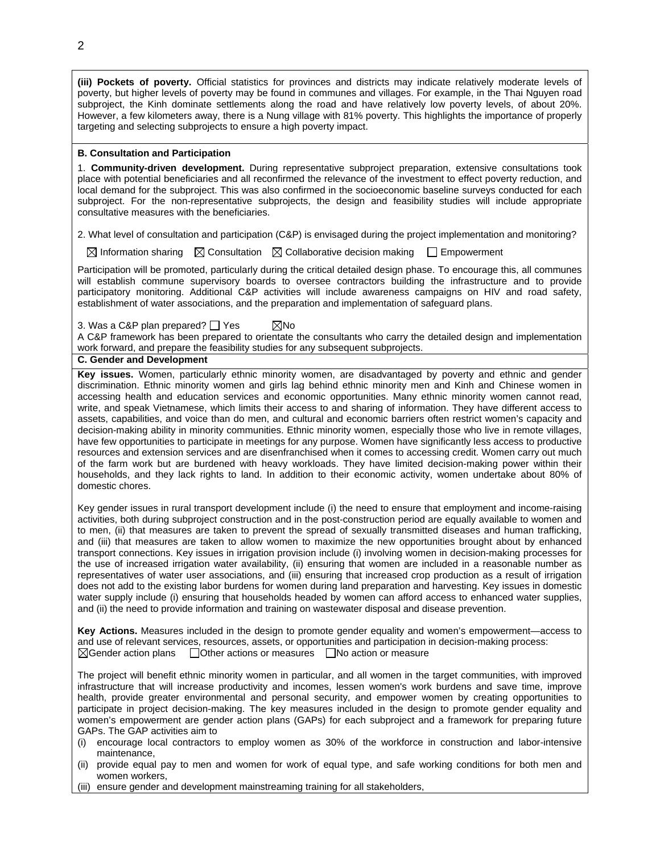**(iii) Pockets of poverty.** Official statistics for provinces and districts may indicate relatively moderate levels of poverty, but higher levels of poverty may be found in communes and villages. For example, in the Thai Nguyen road subproject, the Kinh dominate settlements along the road and have relatively low poverty levels, of about 20%. However, a few kilometers away, there is a Nung village with 81% poverty. This highlights the importance of properly targeting and selecting subprojects to ensure a high poverty impact.

## **B. Consultation and Participation**

1. **Community-driven development.** During representative subproject preparation, extensive consultations took place with potential beneficiaries and all reconfirmed the relevance of the investment to effect poverty reduction, and local demand for the subproject. This was also confirmed in the socioeconomic baseline surveys conducted for each subproject. For the non-representative subprojects, the design and feasibility studies will include appropriate consultative measures with the beneficiaries.

2. What level of consultation and participation (C&P) is envisaged during the project implementation and monitoring?

 $\boxtimes$  Information sharing  $\boxtimes$  Consultation  $\boxtimes$  Collaborative decision making  $\Box$  Empowerment

Participation will be promoted, particularly during the critical detailed design phase. To encourage this, all communes will establish commune supervisory boards to oversee contractors building the infrastructure and to provide participatory monitoring. Additional C&P activities will include awareness campaigns on HIV and road safety, establishment of water associations, and the preparation and implementation of safeguard plans.

3. Was a C&P plan prepared?  $\Box$  Yes  $\boxtimes$ No

A C&P framework has been prepared to orientate the consultants who carry the detailed design and implementation work forward, and prepare the feasibility studies for any subsequent subprojects.

## **C. Gender and Development**

**Key issues.** Women, particularly ethnic minority women, are disadvantaged by poverty and ethnic and gender discrimination. Ethnic minority women and girls lag behind ethnic minority men and Kinh and Chinese women in accessing health and education services and economic opportunities. Many ethnic minority women cannot read, write, and speak Vietnamese, which limits their access to and sharing of information. They have different access to assets, capabilities, and voice than do men, and cultural and economic barriers often restrict women's capacity and decision-making ability in minority communities. Ethnic minority women, especially those who live in remote villages, have few opportunities to participate in meetings for any purpose. Women have significantly less access to productive resources and extension services and are disenfranchised when it comes to accessing credit. Women carry out much of the farm work but are burdened with heavy workloads. They have limited decision-making power within their households, and they lack rights to land. In addition to their economic activity, women undertake about 80% of domestic chores.

Key gender issues in rural transport development include (i) the need to ensure that employment and income-raising activities, both during subproject construction and in the post-construction period are equally available to women and to men, (ii) that measures are taken to prevent the spread of sexually transmitted diseases and human trafficking, and (iii) that measures are taken to allow women to maximize the new opportunities brought about by enhanced transport connections. Key issues in irrigation provision include (i) involving women in decision-making processes for the use of increased irrigation water availability, (ii) ensuring that women are included in a reasonable number as representatives of water user associations, and (iii) ensuring that increased crop production as a result of irrigation does not add to the existing labor burdens for women during land preparation and harvesting. Key issues in domestic water supply include (i) ensuring that households headed by women can afford access to enhanced water supplies, and (ii) the need to provide information and training on wastewater disposal and disease prevention.

**Key Actions.** Measures included in the design to promote gender equality and women's empowerment—access to and use of relevant services, resources, assets, or opportunities and participation in decision-making process:  $\boxtimes$ Gender action plans  $\Box$  Other actions or measures  $\Box$  No action or measure

The project will benefit ethnic minority women in particular, and all women in the target communities, with improved infrastructure that will increase productivity and incomes, lessen women's work burdens and save time, improve health, provide greater environmental and personal security, and empower women by creating opportunities to participate in project decision-making. The key measures included in the design to promote gender equality and women's empowerment are gender action plans (GAPs) for each subproject and a framework for preparing future GAPs. The GAP activities aim to

- (i) encourage local contractors to employ women as 30% of the workforce in construction and labor-intensive maintenance,
- (ii) provide equal pay to men and women for work of equal type, and safe working conditions for both men and women workers,
- (iii) ensure gender and development mainstreaming training for all stakeholders,